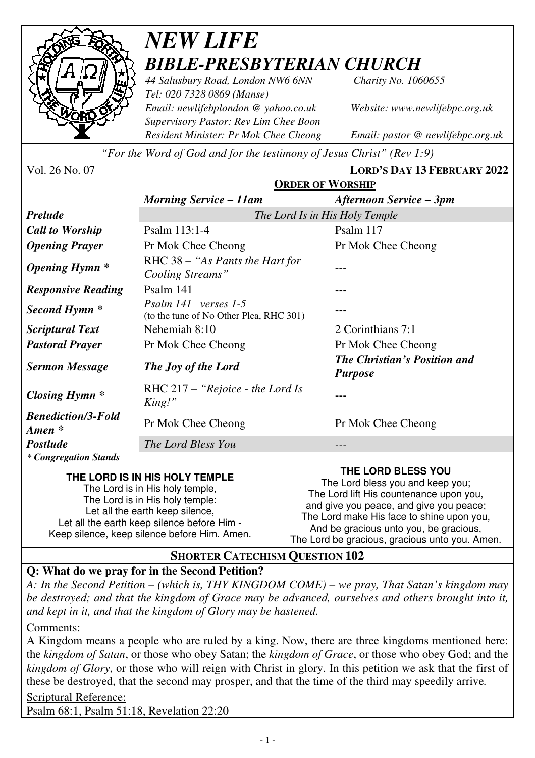

# *NEW LIFE BIBLE-PRESBYTERIAN CHURCH*

*44 Salusbury Road, London NW6 6NN Charity No. 1060655 Tel: 020 7328 0869 (Manse) Email: newlifebplondon @ yahoo.co.uk Website: www.newlifebpc.org.uk Supervisory Pastor: Rev Lim Chee Boon Resident Minister: Pr Mok Chee Cheong Email: pastor @ newlifebpc.org.uk* 

*"For the Word of God and for the testimony of Jesus Christ" (Rev 1:9)*

| Vol. 26 No. 07                      |                                                                 | <b>LORD'S DAY 13 FEBRUARY 2022</b>                    |  |
|-------------------------------------|-----------------------------------------------------------------|-------------------------------------------------------|--|
|                                     | <b>ORDER OF WORSHIP</b>                                         |                                                       |  |
|                                     | <b>Morning Service – 11am</b>                                   | <b>Afternoon Service – 3pm</b>                        |  |
| <b>Prelude</b>                      | The Lord Is in His Holy Temple                                  |                                                       |  |
| <b>Call to Worship</b>              | Psalm 113:1-4                                                   | Psalm 117                                             |  |
| <b>Opening Prayer</b>               | Pr Mok Chee Cheong                                              | Pr Mok Chee Cheong                                    |  |
| <b>Opening Hymn</b> *               | RHC 38 – "As Pants the Hart for<br>Cooling Streams"             |                                                       |  |
| <b>Responsive Reading</b>           | Psalm 141                                                       |                                                       |  |
| Second Hymn <sup>*</sup>            | Psalm 141 verses 1-5<br>(to the tune of No Other Plea, RHC 301) |                                                       |  |
| <b>Scriptural Text</b>              | Nehemiah 8:10                                                   | 2 Corinthians 7:1                                     |  |
| <b>Pastoral Prayer</b>              | Pr Mok Chee Cheong                                              | Pr Mok Chee Cheong                                    |  |
| <b>Sermon Message</b>               | The Joy of the Lord                                             | <b>The Christian's Position and</b><br><b>Purpose</b> |  |
| Closing Hymn $*$                    | RHC $217 -$ "Rejoice - the Lord Is"<br>King!"                   |                                                       |  |
| <b>Benediction/3-Fold</b><br>Amen * | Pr Mok Chee Cheong                                              | Pr Mok Chee Cheong                                    |  |
| <b>Postlude</b>                     | The Lord Bless You                                              |                                                       |  |
| * Congregation Stands               |                                                                 |                                                       |  |

#### **THE LORD IS IN HIS HOLY TEMPLE**

The Lord is in His holy temple, The Lord is in His holy temple: Let all the earth keep silence, Let all the earth keep silence before Him - Keep silence, keep silence before Him. Amen. **THE LORD BLESS YOU** 

The Lord bless you and keep you; The Lord lift His countenance upon you, and give you peace, and give you peace; The Lord make His face to shine upon you, And be gracious unto you, be gracious, The Lord be gracious, gracious unto you. Amen.

#### **SHORTER CATECHISM QUESTION 102**

#### **Q: What do we pray for in the Second Petition?**

*A: In the Second Petition – (which is, THY KINGDOM COME) – we pray, That Satan's kingdom may be destroyed; and that the kingdom of Grace may be advanced, ourselves and others brought into it, and kept in it, and that the kingdom of Glory may be hastened.* 

Comments:

A Kingdom means a people who are ruled by a king. Now, there are three kingdoms mentioned here: the *kingdom of Satan*, or those who obey Satan; the *kingdom of Grace*, or those who obey God; and the *kingdom of Glory*, or those who will reign with Christ in glory. In this petition we ask that the first of these be destroyed, that the second may prosper, and that the time of the third may speedily arrive*.*

Scriptural Reference:

Psalm 68:1, Psalm 51:18, Revelation 22:20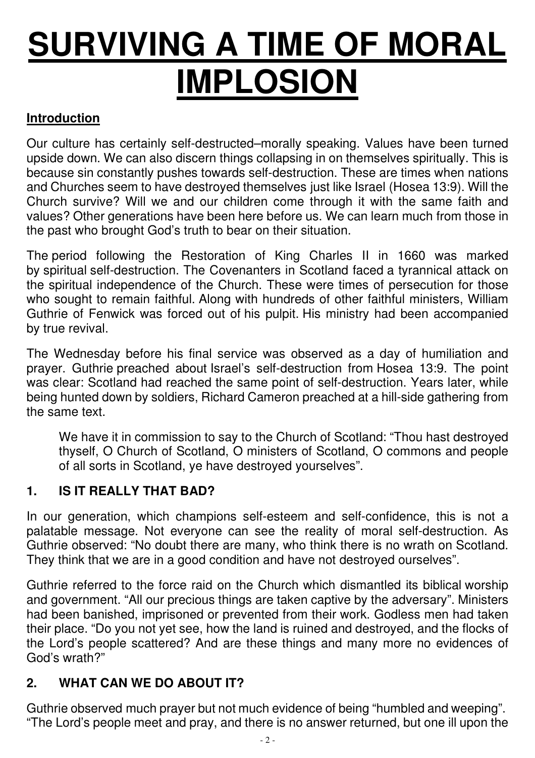# **SURVIVING A TIME OF MORAL IMPLOSION**

## **Introduction**

Our culture has certainly self-destructed–morally speaking. Values have been turned upside down. We can also discern things collapsing in on themselves spiritually. This is because sin constantly pushes towards self-destruction. These are times when nations and Churches seem to have destroyed themselves just like Israel (Hosea 13:9). Will the Church survive? Will we and our children come through it with the same faith and values? Other generations have been here before us. We can learn much from those in the past who brought God's truth to bear on their situation.

The period following the Restoration of King Charles II in 1660 was marked by spiritual self-destruction. The Covenanters in Scotland faced a tyrannical attack on the spiritual independence of the Church. These were times of persecution for those who sought to remain faithful. Along with hundreds of other faithful ministers, William Guthrie of Fenwick was forced out of his pulpit. His ministry had been accompanied by true revival.

The Wednesday before his final service was observed as a day of humiliation and prayer. Guthrie preached about Israel's self-destruction from Hosea 13:9. The point was clear: Scotland had reached the same point of self-destruction. Years later, while being hunted down by soldiers, Richard Cameron preached at a hill-side gathering from the same text.

We have it in commission to say to the Church of Scotland: "Thou hast destroyed thyself, O Church of Scotland, O ministers of Scotland, O commons and people of all sorts in Scotland, ye have destroyed yourselves".

## **1. IS IT REALLY THAT BAD?**

In our generation, which champions self-esteem and self-confidence, this is not a palatable message. Not everyone can see the reality of moral self-destruction. As Guthrie observed: "No doubt there are many, who think there is no wrath on Scotland. They think that we are in a good condition and have not destroyed ourselves".

Guthrie referred to the force raid on the Church which dismantled its biblical worship and government. "All our precious things are taken captive by the adversary". Ministers had been banished, imprisoned or prevented from their work. Godless men had taken their place. "Do you not yet see, how the land is ruined and destroyed, and the flocks of the Lord's people scattered? And are these things and many more no evidences of God's wrath?"

## **2. WHAT CAN WE DO ABOUT IT?**

Guthrie observed much prayer but not much evidence of being "humbled and weeping". "The Lord's people meet and pray, and there is no answer returned, but one ill upon the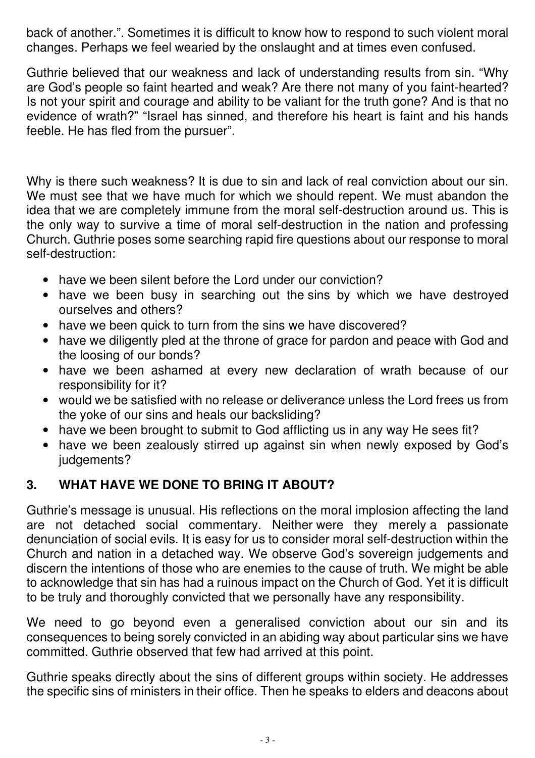back of another.". Sometimes it is difficult to know how to respond to such violent moral changes. Perhaps we feel wearied by the onslaught and at times even confused.

Guthrie believed that our weakness and lack of understanding results from sin. "Why are God's people so faint hearted and weak? Are there not many of you faint-hearted? Is not your spirit and courage and ability to be valiant for the truth gone? And is that no evidence of wrath?" "Israel has sinned, and therefore his heart is faint and his hands feeble. He has fled from the pursuer".

Why is there such weakness? It is due to sin and lack of real conviction about our sin. We must see that we have much for which we should repent. We must abandon the idea that we are completely immune from the moral self-destruction around us. This is the only way to survive a time of moral self-destruction in the nation and professing Church. Guthrie poses some searching rapid fire questions about our response to moral self-destruction:

- have we been silent before the Lord under our conviction?
- have we been busy in searching out the sins by which we have destroyed ourselves and others?
- have we been quick to turn from the sins we have discovered?
- have we diligently pled at the throne of grace for pardon and peace with God and the loosing of our bonds?
- have we been ashamed at every new declaration of wrath because of our responsibility for it?
- would we be satisfied with no release or deliverance unless the Lord frees us from the yoke of our sins and heals our backsliding?
- have we been brought to submit to God afflicting us in any way He sees fit?
- have we been zealously stirred up against sin when newly exposed by God's judgements?

# **3. WHAT HAVE WE DONE TO BRING IT ABOUT?**

Guthrie's message is unusual. His reflections on the moral implosion affecting the land are not detached social commentary. Neither were they merely a passionate denunciation of social evils. It is easy for us to consider moral self-destruction within the Church and nation in a detached way. We observe God's sovereign judgements and discern the intentions of those who are enemies to the cause of truth. We might be able to acknowledge that sin has had a ruinous impact on the Church of God. Yet it is difficult to be truly and thoroughly convicted that we personally have any responsibility.

We need to go beyond even a generalised conviction about our sin and its consequences to being sorely convicted in an abiding way about particular sins we have committed. Guthrie observed that few had arrived at this point.

Guthrie speaks directly about the sins of different groups within society. He addresses the specific sins of ministers in their office. Then he speaks to elders and deacons about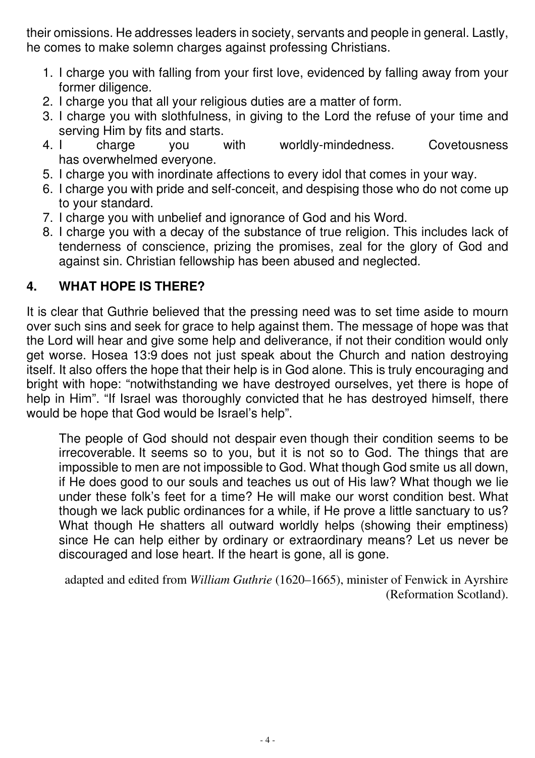their omissions. He addresses leaders in society, servants and people in general. Lastly, he comes to make solemn charges against professing Christians.

- 1. I charge you with falling from your first love, evidenced by falling away from your former diligence.
- 2. I charge you that all your religious duties are a matter of form.
- 3. I charge you with slothfulness, in giving to the Lord the refuse of your time and serving Him by fits and starts.
- 4. I charge you with worldly-mindedness. Covetousness has overwhelmed everyone.
- 5. I charge you with inordinate affections to every idol that comes in your way.
- 6. I charge you with pride and self-conceit, and despising those who do not come up to your standard.
- 7. I charge you with unbelief and ignorance of God and his Word.
- 8. I charge you with a decay of the substance of true religion. This includes lack of tenderness of conscience, prizing the promises, zeal for the glory of God and against sin. Christian fellowship has been abused and neglected.

# **4. WHAT HOPE IS THERE?**

It is clear that Guthrie believed that the pressing need was to set time aside to mourn over such sins and seek for grace to help against them. The message of hope was that the Lord will hear and give some help and deliverance, if not their condition would only get worse. Hosea 13:9 does not just speak about the Church and nation destroying itself. It also offers the hope that their help is in God alone. This is truly encouraging and bright with hope: "notwithstanding we have destroyed ourselves, yet there is hope of help in Him". "If Israel was thoroughly convicted that he has destroyed himself, there would be hope that God would be Israel's help".

The people of God should not despair even though their condition seems to be irrecoverable. It seems so to you, but it is not so to God. The things that are impossible to men are not impossible to God. What though God smite us all down, if He does good to our souls and teaches us out of His law? What though we lie under these folk's feet for a time? He will make our worst condition best. What though we lack public ordinances for a while, if He prove a little sanctuary to us? What though He shatters all outward worldly helps (showing their emptiness) since He can help either by ordinary or extraordinary means? Let us never be discouraged and lose heart. If the heart is gone, all is gone.

adapted and edited from *William Guthrie* (1620–1665), minister of Fenwick in Ayrshire (Reformation Scotland).